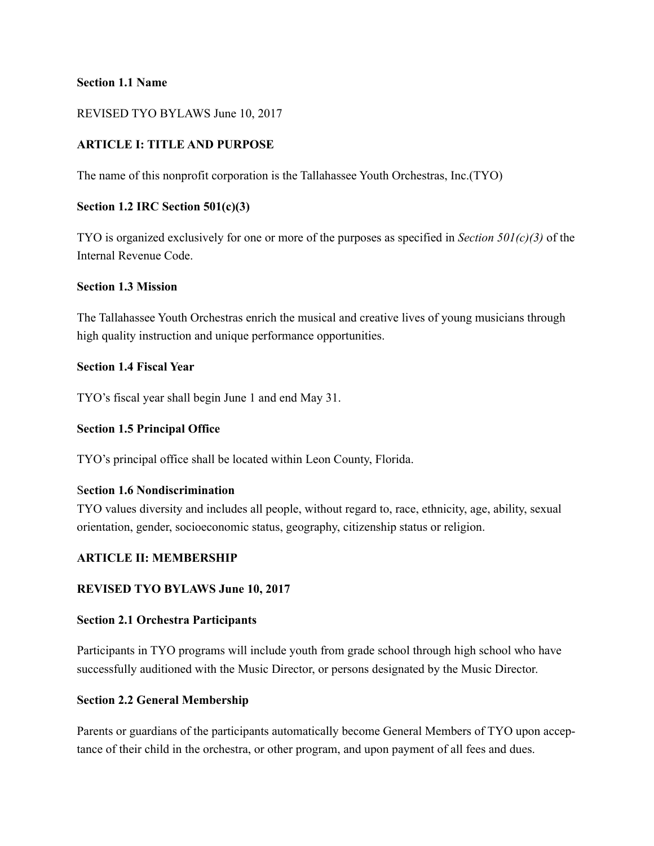### **Section 1.1 Name**

### REVISED TYO BYLAWS June 10, 2017

# **ARTICLE I: TITLE AND PURPOSE**

The name of this nonprofit corporation is the Tallahassee Youth Orchestras, Inc.(TYO)

### **Section 1.2 IRC Section 501(c)(3)**

TYO is organized exclusively for one or more of the purposes as specified in *Section 501(c)(3)* of the Internal Revenue Code.

#### **Section 1.3 Mission**

The Tallahassee Youth Orchestras enrich the musical and creative lives of young musicians through high quality instruction and unique performance opportunities.

### **Section 1.4 Fiscal Year**

TYO's fiscal year shall begin June 1 and end May 31.

### **Section 1.5 Principal Office**

TYO's principal office shall be located within Leon County, Florida.

### S**ection 1.6 Nondiscrimination**

TYO values diversity and includes all people, without regard to, race, ethnicity, age, ability, sexual orientation, gender, socioeconomic status, geography, citizenship status or religion.

### **ARTICLE II: MEMBERSHIP**

#### **REVISED TYO BYLAWS June 10, 2017**

#### **Section 2.1 Orchestra Participants**

Participants in TYO programs will include youth from grade school through high school who have successfully auditioned with the Music Director, or persons designated by the Music Director.

### **Section 2.2 General Membership**

Parents or guardians of the participants automatically become General Members of TYO upon acceptance of their child in the orchestra, or other program, and upon payment of all fees and dues.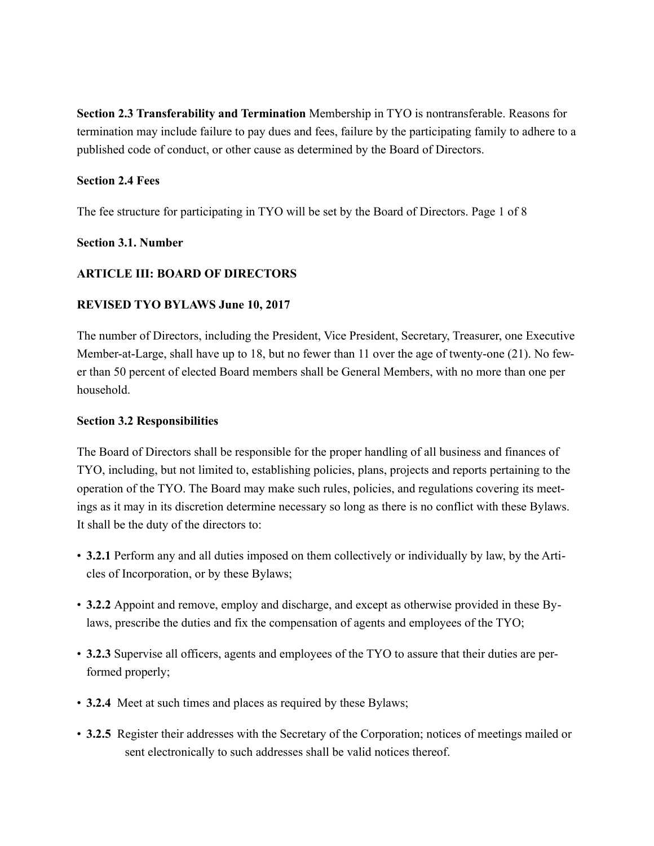**Section 2.3 Transferability and Termination** Membership in TYO is nontransferable. Reasons for termination may include failure to pay dues and fees, failure by the participating family to adhere to a published code of conduct, or other cause as determined by the Board of Directors.

#### **Section 2.4 Fees**

The fee structure for participating in TYO will be set by the Board of Directors. Page 1 of 8

### **Section 3.1. Number**

# **ARTICLE III: BOARD OF DIRECTORS**

### **REVISED TYO BYLAWS June 10, 2017**

The number of Directors, including the President, Vice President, Secretary, Treasurer, one Executive Member-at-Large, shall have up to 18, but no fewer than 11 over the age of twenty-one (21). No fewer than 50 percent of elected Board members shall be General Members, with no more than one per household.

### **Section 3.2 Responsibilities**

The Board of Directors shall be responsible for the proper handling of all business and finances of TYO, including, but not limited to, establishing policies, plans, projects and reports pertaining to the operation of the TYO. The Board may make such rules, policies, and regulations covering its meetings as it may in its discretion determine necessary so long as there is no conflict with these Bylaws. It shall be the duty of the directors to:

- **3.2.1** Perform any and all duties imposed on them collectively or individually by law, by the Articles of Incorporation, or by these Bylaws;
- **3.2.2** Appoint and remove, employ and discharge, and except as otherwise provided in these Bylaws, prescribe the duties and fix the compensation of agents and employees of the TYO;
- **3.2.3** Supervise all officers, agents and employees of the TYO to assure that their duties are performed properly;
- **3.2.4** Meet at such times and places as required by these Bylaws;
- **3.2.5** Register their addresses with the Secretary of the Corporation; notices of meetings mailed or sent electronically to such addresses shall be valid notices thereof.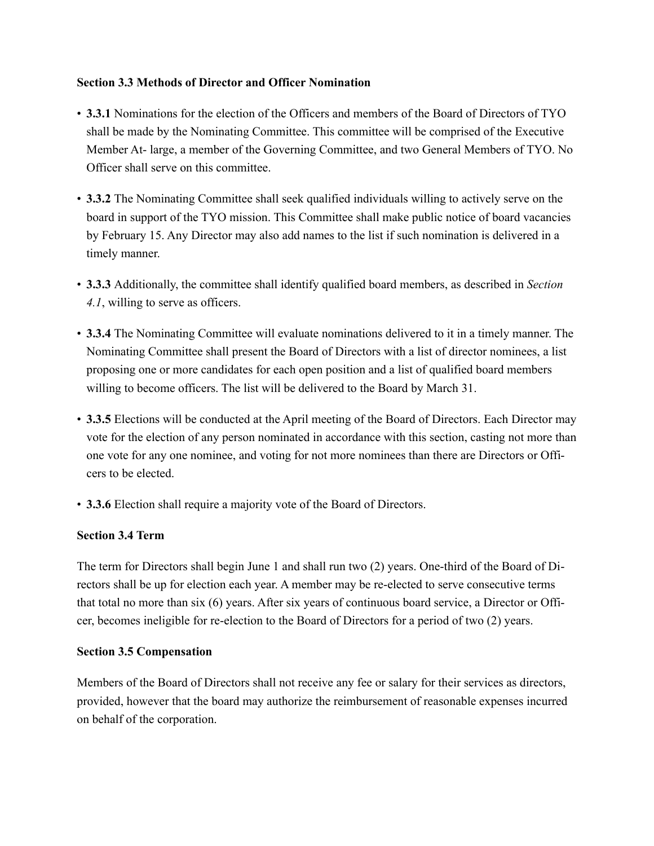# **Section 3.3 Methods of Director and Officer Nomination**

- **3.3.1** Nominations for the election of the Officers and members of the Board of Directors of TYO shall be made by the Nominating Committee. This committee will be comprised of the Executive Member At- large, a member of the Governing Committee, and two General Members of TYO. No Officer shall serve on this committee.
- **3.3.2** The Nominating Committee shall seek qualified individuals willing to actively serve on the board in support of the TYO mission. This Committee shall make public notice of board vacancies by February 15. Any Director may also add names to the list if such nomination is delivered in a timely manner.
- **3.3.3** Additionally, the committee shall identify qualified board members, as described in *Section 4.1*, willing to serve as officers.
- **3.3.4** The Nominating Committee will evaluate nominations delivered to it in a timely manner. The Nominating Committee shall present the Board of Directors with a list of director nominees, a list proposing one or more candidates for each open position and a list of qualified board members willing to become officers. The list will be delivered to the Board by March 31.
- **3.3.5** Elections will be conducted at the April meeting of the Board of Directors. Each Director may vote for the election of any person nominated in accordance with this section, casting not more than one vote for any one nominee, and voting for not more nominees than there are Directors or Officers to be elected.
- **3.3.6** Election shall require a majority vote of the Board of Directors.

# **Section 3.4 Term**

The term for Directors shall begin June 1 and shall run two (2) years. One-third of the Board of Directors shall be up for election each year. A member may be re-elected to serve consecutive terms that total no more than six (6) years. After six years of continuous board service, a Director or Officer, becomes ineligible for re-election to the Board of Directors for a period of two (2) years.

### **Section 3.5 Compensation**

Members of the Board of Directors shall not receive any fee or salary for their services as directors, provided, however that the board may authorize the reimbursement of reasonable expenses incurred on behalf of the corporation.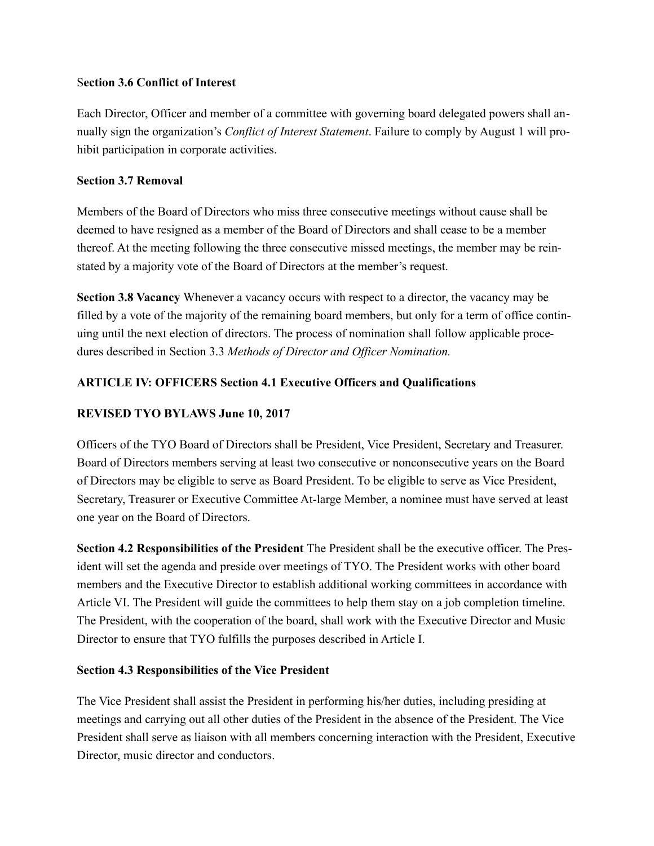## S**ection 3.6 Conflict of Interest**

Each Director, Officer and member of a committee with governing board delegated powers shall annually sign the organization's *Conflict of Interest Statement*. Failure to comply by August 1 will prohibit participation in corporate activities.

# **Section 3.7 Removal**

Members of the Board of Directors who miss three consecutive meetings without cause shall be deemed to have resigned as a member of the Board of Directors and shall cease to be a member thereof. At the meeting following the three consecutive missed meetings, the member may be reinstated by a majority vote of the Board of Directors at the member's request.

**Section 3.8 Vacancy** Whenever a vacancy occurs with respect to a director, the vacancy may be filled by a vote of the majority of the remaining board members, but only for a term of office continuing until the next election of directors. The process of nomination shall follow applicable procedures described in Section 3.3 *Methods of Director and Officer Nomination.* 

# **ARTICLE IV: OFFICERS Section 4.1 Executive Officers and Qualifications**

# **REVISED TYO BYLAWS June 10, 2017**

Officers of the TYO Board of Directors shall be President, Vice President, Secretary and Treasurer. Board of Directors members serving at least two consecutive or nonconsecutive years on the Board of Directors may be eligible to serve as Board President. To be eligible to serve as Vice President, Secretary, Treasurer or Executive Committee At-large Member, a nominee must have served at least one year on the Board of Directors.

**Section 4.2 Responsibilities of the President** The President shall be the executive officer. The President will set the agenda and preside over meetings of TYO. The President works with other board members and the Executive Director to establish additional working committees in accordance with Article VI. The President will guide the committees to help them stay on a job completion timeline. The President, with the cooperation of the board, shall work with the Executive Director and Music Director to ensure that TYO fulfills the purposes described in Article I.

# **Section 4.3 Responsibilities of the Vice President**

The Vice President shall assist the President in performing his/her duties, including presiding at meetings and carrying out all other duties of the President in the absence of the President. The Vice President shall serve as liaison with all members concerning interaction with the President, Executive Director, music director and conductors.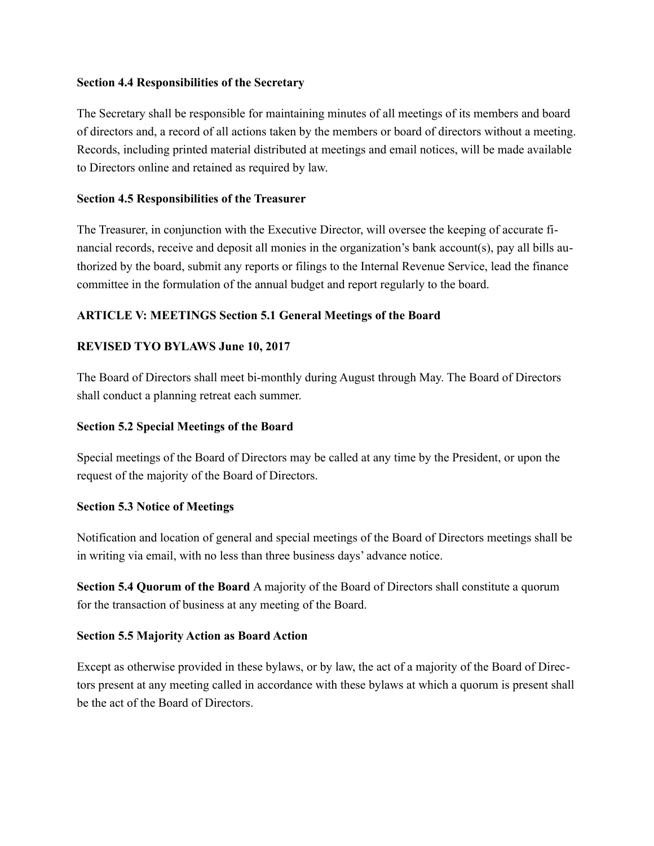# **Section 4.4 Responsibilities of the Secretary**

The Secretary shall be responsible for maintaining minutes of all meetings of its members and board of directors and, a record of all actions taken by the members or board of directors without a meeting. Records, including printed material distributed at meetings and email notices, will be made available to Directors online and retained as required by law.

# **Section 4.5 Responsibilities of the Treasurer**

The Treasurer, in conjunction with the Executive Director, will oversee the keeping of accurate financial records, receive and deposit all monies in the organization's bank account(s), pay all bills authorized by the board, submit any reports or filings to the Internal Revenue Service, lead the finance committee in the formulation of the annual budget and report regularly to the board.

# **ARTICLE V: MEETINGS Section 5.1 General Meetings of the Board**

# **REVISED TYO BYLAWS June 10, 2017**

The Board of Directors shall meet bi-monthly during August through May. The Board of Directors shall conduct a planning retreat each summer.

### **Section 5.2 Special Meetings of the Board**

Special meetings of the Board of Directors may be called at any time by the President, or upon the request of the majority of the Board of Directors.

### **Section 5.3 Notice of Meetings**

Notification and location of general and special meetings of the Board of Directors meetings shall be in writing via email, with no less than three business days' advance notice.

**Section 5.4 Quorum of the Board** A majority of the Board of Directors shall constitute a quorum for the transaction of business at any meeting of the Board.

### **Section 5.5 Majority Action as Board Action**

Except as otherwise provided in these bylaws, or by law, the act of a majority of the Board of Directors present at any meeting called in accordance with these bylaws at which a quorum is present shall be the act of the Board of Directors.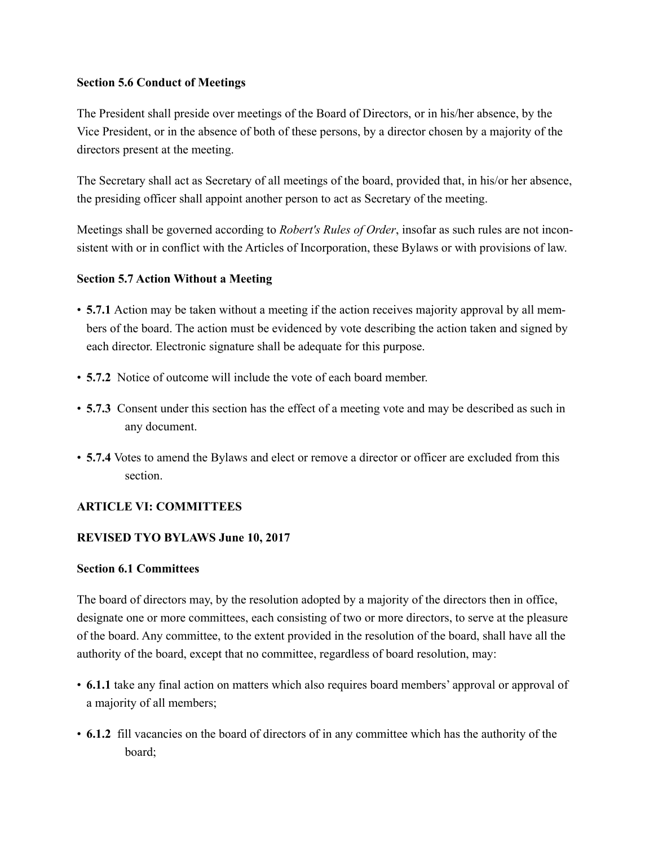# **Section 5.6 Conduct of Meetings**

The President shall preside over meetings of the Board of Directors, or in his/her absence, by the Vice President, or in the absence of both of these persons, by a director chosen by a majority of the directors present at the meeting.

The Secretary shall act as Secretary of all meetings of the board, provided that, in his/or her absence, the presiding officer shall appoint another person to act as Secretary of the meeting.

Meetings shall be governed according to *Robert's Rules of Order*, insofar as such rules are not inconsistent with or in conflict with the Articles of Incorporation, these Bylaws or with provisions of law.

# **Section 5.7 Action Without a Meeting**

- **5.7.1** Action may be taken without a meeting if the action receives majority approval by all members of the board. The action must be evidenced by vote describing the action taken and signed by each director. Electronic signature shall be adequate for this purpose.
- **5.7.2** Notice of outcome will include the vote of each board member.
- **5.7.3** Consent under this section has the effect of a meeting vote and may be described as such in any document.
- **5.7.4** Votes to amend the Bylaws and elect or remove a director or officer are excluded from this section.

# **ARTICLE VI: COMMITTEES**

### **REVISED TYO BYLAWS June 10, 2017**

### **Section 6.1 Committees**

The board of directors may, by the resolution adopted by a majority of the directors then in office, designate one or more committees, each consisting of two or more directors, to serve at the pleasure of the board. Any committee, to the extent provided in the resolution of the board, shall have all the authority of the board, except that no committee, regardless of board resolution, may:

- **6.1.1** take any final action on matters which also requires board members' approval or approval of a majority of all members;
- **6.1.2** fill vacancies on the board of directors of in any committee which has the authority of the board;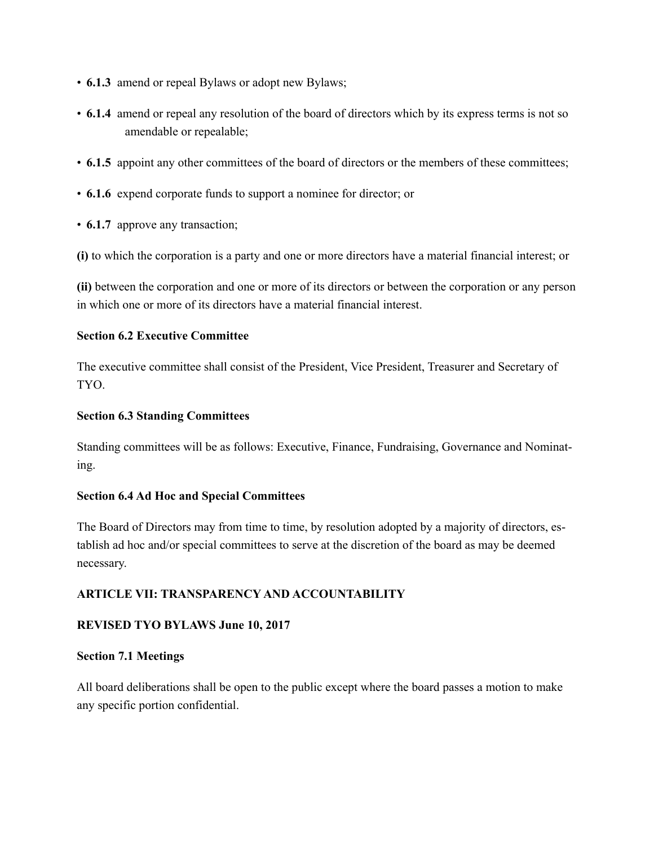- **6.1.3** amend or repeal Bylaws or adopt new Bylaws;
- **6.1.4** amend or repeal any resolution of the board of directors which by its express terms is not so amendable or repealable;
- **6.1.5** appoint any other committees of the board of directors or the members of these committees;
- **6.1.6** expend corporate funds to support a nominee for director; or
- **6.1.7** approve any transaction;

**(i)** to which the corporation is a party and one or more directors have a material financial interest; or

**(ii)** between the corporation and one or more of its directors or between the corporation or any person in which one or more of its directors have a material financial interest.

### **Section 6.2 Executive Committee**

The executive committee shall consist of the President, Vice President, Treasurer and Secretary of TYO.

#### **Section 6.3 Standing Committees**

Standing committees will be as follows: Executive, Finance, Fundraising, Governance and Nominating.

#### **Section 6.4 Ad Hoc and Special Committees**

The Board of Directors may from time to time, by resolution adopted by a majority of directors, establish ad hoc and/or special committees to serve at the discretion of the board as may be deemed necessary.

### **ARTICLE VII: TRANSPARENCY AND ACCOUNTABILITY**

### **REVISED TYO BYLAWS June 10, 2017**

#### **Section 7.1 Meetings**

All board deliberations shall be open to the public except where the board passes a motion to make any specific portion confidential.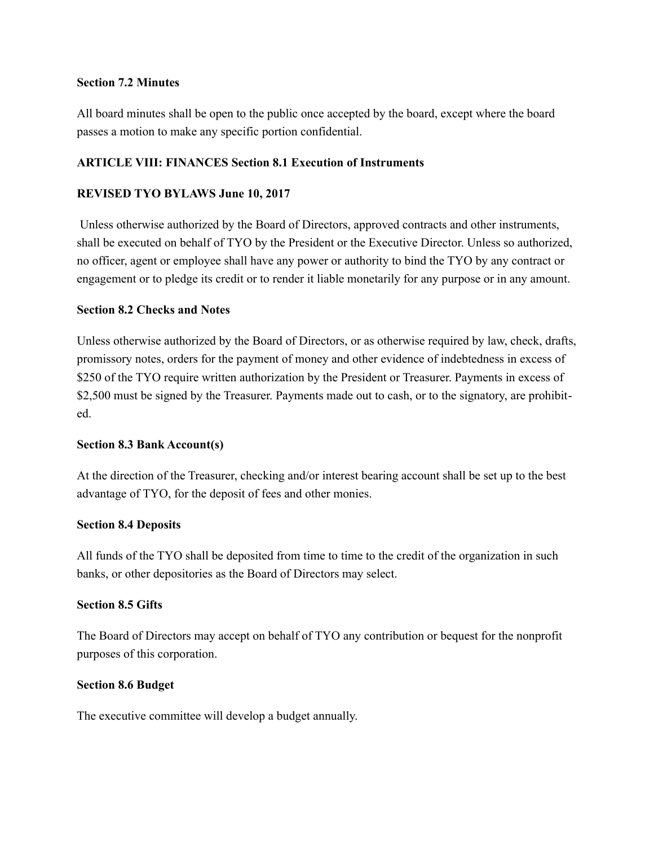#### **Section 7.2 Minutes**

All board minutes shall be open to the public once accepted by the board, except where the board passes a motion to make any specific portion confidential.

### **ARTICLE VIII: FINANCES Section 8.1 Execution of Instruments**

## **REVISED TYO BYLAWS June 10, 2017**

Unless otherwise authorized by the Board of Directors, approved contracts and other instruments, shall be executed on behalf of TYO by the President or the Executive Director. Unless so authorized, no officer, agent or employee shall have any power or authority to bind the TYO by any contract or engagement or to pledge its credit or to render it liable monetarily for any purpose or in any amount.

### **Section 8.2 Checks and Notes**

Unless otherwise authorized by the Board of Directors, or as otherwise required by law, check, drafts, promissory notes, orders for the payment of money and other evidence of indebtedness in excess of \$250 of the TYO require written authorization by the President or Treasurer. Payments in excess of \$2,500 must be signed by the Treasurer. Payments made out to cash, or to the signatory, are prohibited.

### **Section 8.3 Bank Account(s)**

At the direction of the Treasurer, checking and/or interest bearing account shall be set up to the best advantage of TYO, for the deposit of fees and other monies.

### **Section 8.4 Deposits**

All funds of the TYO shall be deposited from time to time to the credit of the organization in such banks, or other depositories as the Board of Directors may select.

### **Section 8.5 Gifts**

The Board of Directors may accept on behalf of TYO any contribution or bequest for the nonprofit purposes of this corporation.

### **Section 8.6 Budget**

The executive committee will develop a budget annually.